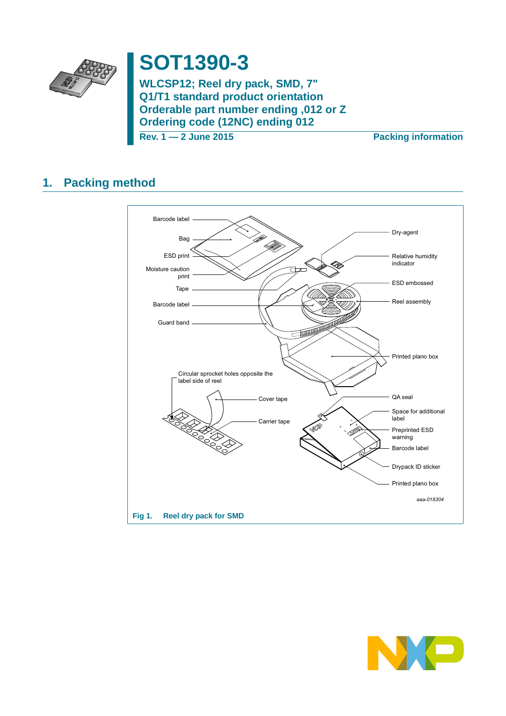

# **SOT1390-3**

**WLCSP12; Reel dry pack, SMD, 7" Q1/T1 standard product orientation Orderable part number ending ,012 or Z Ordering code (12NC) ending 012**

**Rev. 1 — 2 June 2015 Packing information**

## **1. Packing method**



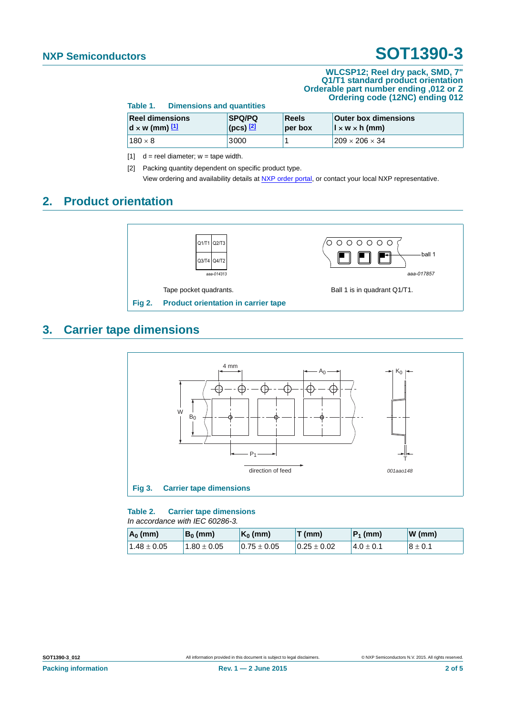#### **WLCSP12; Reel dry pack, SMD, 7" Q1/T1 standard product orientation Orderable part number ending ,012 or Z Ordering code (12NC) ending 012**

| Table 1.                                         | <b>Dimensions and quantities</b>                           |                  |                                                             |  |
|--------------------------------------------------|------------------------------------------------------------|------------------|-------------------------------------------------------------|--|
| <b>Reel dimensions</b><br>$d \times w$ (mm) $11$ | <b>SPQ/PQ</b><br>$\left($ (pcs) $\left[\frac{2}{2}\right]$ | Reels<br>per box | <b>Outer box dimensions</b><br>$\vert x \, w \times h$ (mm) |  |
| $180 \times 8$                                   | 3000                                                       |                  | $209 \times 206 \times 34$                                  |  |

<span id="page-1-0"></span>[1]  $d =$  reel diameter;  $w =$  tape width.

<span id="page-1-1"></span>[2] Packing quantity dependent on specific product type. View ordering and availability details at [NXP order portal](http://www.nxp.com/order-portal/), or contact your local NXP representative.

### **2. Product orientation**



### **3. Carrier tape dimensions**



**Table 2. Carrier tape dimensions** *In accordance with IEC 60286-3.*

| $A_0$ (mm)    | $B_0$ (mm)      | $K_0$ (mm)      | T(mm)           | $ P_1$ (mm)    | $W$ (mm)    |
|---------------|-----------------|-----------------|-----------------|----------------|-------------|
| $1.48\pm0.05$ | $1.80 \pm 0.05$ | $0.75 \pm 0.05$ | $0.25 \pm 0.02$ | $14.0 \pm 0.1$ | $8 \pm 0.1$ |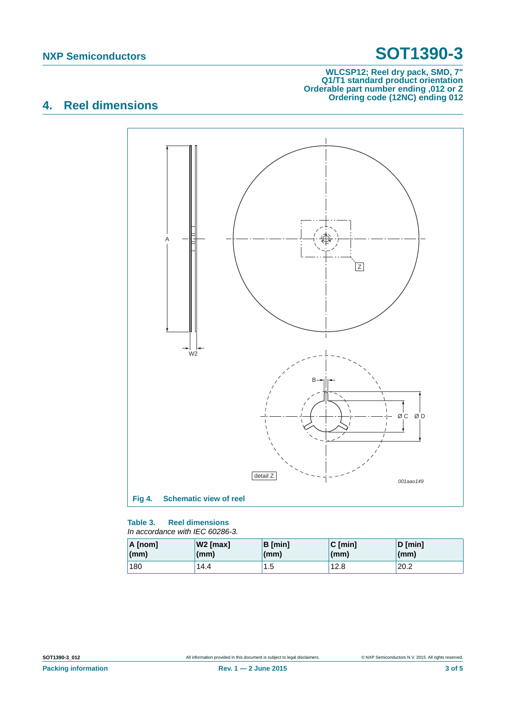#### **WLCSP12; Reel dry pack, SMD, 7" Q1/T1 standard product orientation Orderable part number ending ,012 or Z Ordering code (12NC) ending 012**

## **4. Reel dimensions**



#### **Table 3. Reel dimensions** *In accordance with IEC 60286-3.*

| A [nom] | $W2$ [max]   | B [min] | $C$ [min] | $D$ [min]    |
|---------|--------------|---------|-----------|--------------|
| (mm)    | $\mathsf{m}$ | (mm)    | (mm)      | $\mathsf{m}$ |
| 180     | 14.4         | 1.5     | 12.8      | 20.2         |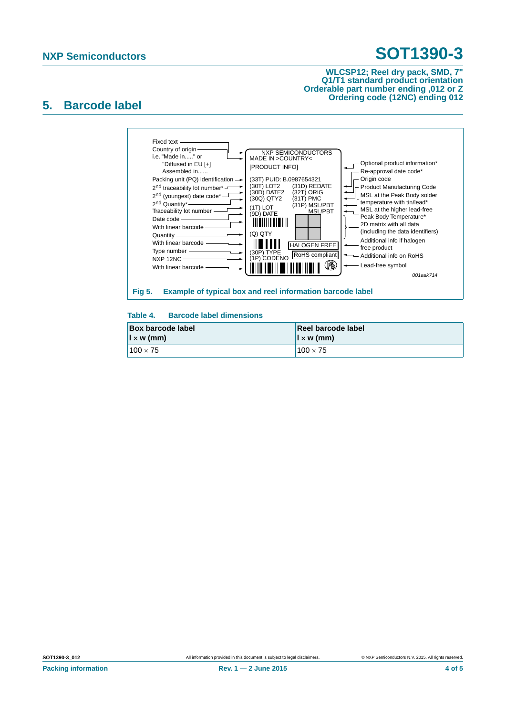#### **WLCSP12; Reel dry pack, SMD, 7" Q1/T1 standard product orientation Orderable part number ending ,012 or Z Ordering code (12NC) ending 012**

### **5. Barcode label**



### **Table 4. Barcode label dimensions**

| <b>Box barcode label</b> | Reel barcode label       |  |
|--------------------------|--------------------------|--|
| $\vert x \rangle$ (mm)   | $\vert x \rangle$ w (mm) |  |
| $100 \times 75$          | $100 \times 75$          |  |